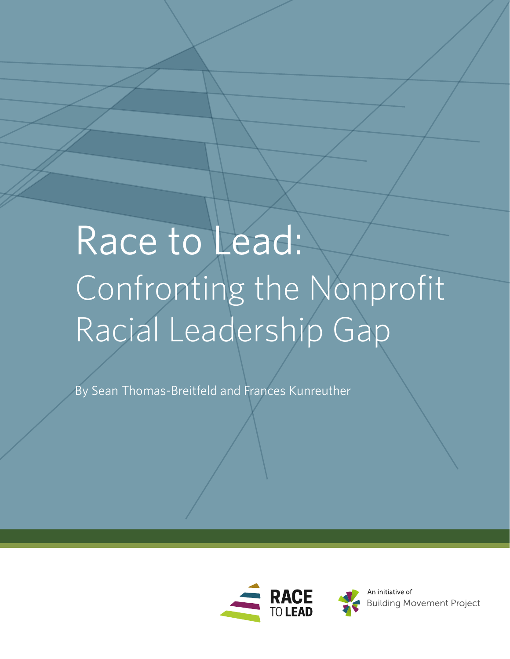# Race to Lead: Confronting the Nonprofit Racial Leadership Gap

By Sean Thomas-Breitfeld and Frances Kunreuther



**Building Movement Project**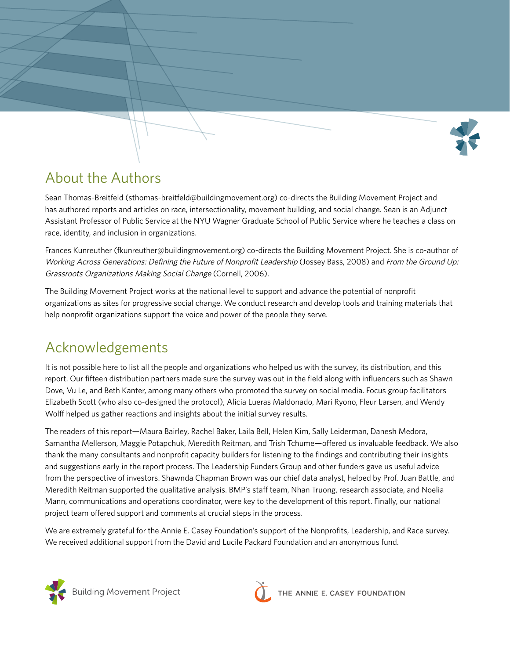

## About the Authors

Sean Thomas-Breitfeld (sthomas-breitfeld@buildingmovement.org) co-directs the Building Movement Project and has authored reports and articles on race, intersectionality, movement building, and social change. Sean is an Adjunct Assistant Professor of Public Service at the NYU Wagner Graduate School of Public Service where he teaches a class on race, identity, and inclusion in organizations.

Frances Kunreuther (fkunreuther@buildingmovement.org) co-directs the Building Movement Project. She is co-author of Working Across Generations: Defining the Future of Nonprofit Leadership (Jossey Bass, 2008) and From the Ground Up: Grassroots Organizations Making Social Change (Cornell, 2006).

The Building Movement Project works at the national level to support and advance the potential of nonprofit organizations as sites for progressive social change. We conduct research and develop tools and training materials that help nonprofit organizations support the voice and power of the people they serve.

## Acknowledgements

It is not possible here to list all the people and organizations who helped us with the survey, its distribution, and this report. Our fifteen distribution partners made sure the survey was out in the field along with influencers such as Shawn Dove, Vu Le, and Beth Kanter, among many others who promoted the survey on social media. Focus group facilitators Elizabeth Scott (who also co-designed the protocol), Alicia Lueras Maldonado, Mari Ryono, Fleur Larsen, and Wendy Wolff helped us gather reactions and insights about the initial survey results.

The readers of this report—Maura Bairley, Rachel Baker, Laila Bell, Helen Kim, Sally Leiderman, Danesh Medora, Samantha Mellerson, Maggie Potapchuk, Meredith Reitman, and Trish Tchume—offered us invaluable feedback. We also thank the many consultants and nonprofit capacity builders for listening to the findings and contributing their insights and suggestions early in the report process. The Leadership Funders Group and other funders gave us useful advice from the perspective of investors. Shawnda Chapman Brown was our chief data analyst, helped by Prof. Juan Battle, and Meredith Reitman supported the qualitative analysis. BMP's staff team, Nhan Truong, research associate, and Noelia Mann, communications and operations coordinator, were key to the development of this report. Finally, our national project team offered support and comments at crucial steps in the process.

We are extremely grateful for the Annie E. Casey Foundation's support of the Nonprofits, Leadership, and Race survey. We received additional support from the David and Lucile Packard Foundation and an anonymous fund.





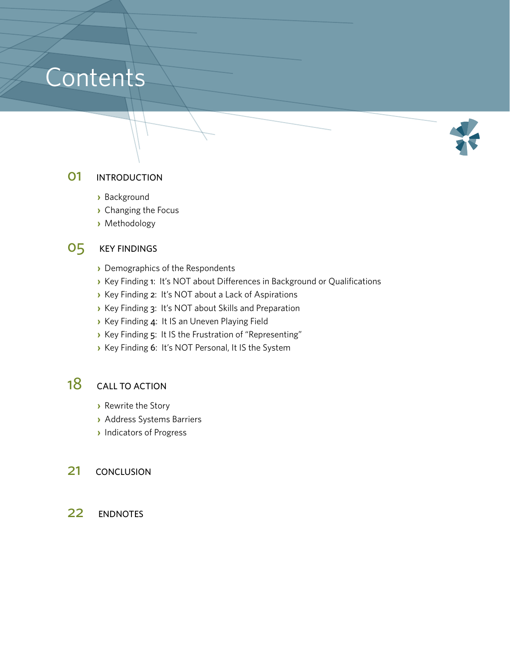## Contents



#### **01** INTRODUCTION

- **›** Background
- **›** Changing the Focus
- **›** Methodology

### O5 KEY FINDINGS

- **›** Demographics of the Respondents
- **›** Key Finding 1: It's NOT about Differences in Background or Qualifications
- **›** Key Finding 2: It's NOT about a Lack of Aspirations
- **›** Key Finding 3: It's NOT about Skills and Preparation
- **›** Key Finding 4: It IS an Uneven Playing Field
- **›** Key Finding 5: It IS the Frustration of "Representing"
- **›** Key Finding 6: It's NOT Personal, It IS the System

### 18 CALL TO ACTION

- **›** Rewrite the Story
- **›** Address Systems Barriers
- **›** Indicators of Progress
- 21 **CONCLUSION**
- 22 ENDNOTES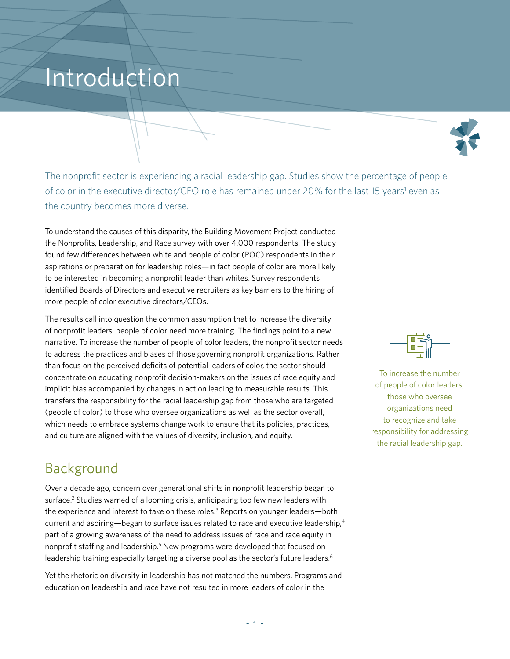## Introduction



The nonprofit sector is experiencing a racial leadership gap. Studies show the percentage of people of color in the executive director/CEO role has remained under 20% for the last 15 years<sup>1</sup> even as the country becomes more diverse.

To understand the causes of this disparity, the Building Movement Project conducted the Nonprofits, Leadership, and Race survey with over 4,000 respondents. The study found few differences between white and people of color (POC) respondents in their aspirations or preparation for leadership roles—in fact people of color are more likely to be interested in becoming a nonprofit leader than whites. Survey respondents identified Boards of Directors and executive recruiters as key barriers to the hiring of more people of color executive directors/CEOs.

The results call into question the common assumption that to increase the diversity of nonprofit leaders, people of color need more training. The findings point to a new narrative. To increase the number of people of color leaders, the nonprofit sector needs to address the practices and biases of those governing nonprofit organizations. Rather than focus on the perceived deficits of potential leaders of color, the sector should concentrate on educating nonprofit decision-makers on the issues of race equity and implicit bias accompanied by changes in action leading to measurable results. This transfers the responsibility for the racial leadership gap from those who are targeted (people of color) to those who oversee organizations as well as the sector overall, which needs to embrace systems change work to ensure that its policies, practices, and culture are aligned with the values of diversity, inclusion, and equity.

## Background

Over a decade ago, concern over generational shifts in nonprofit leadership began to surface.<sup>2</sup> Studies warned of a looming crisis, anticipating too few new leaders with the experience and interest to take on these roles.<sup>3</sup> Reports on younger leaders—both current and aspiring—began to surface issues related to race and executive leadership,<sup>4</sup> part of a growing awareness of the need to address issues of race and race equity in nonprofit staffing and leadership.<sup>5</sup> New programs were developed that focused on leadership training especially targeting a diverse pool as the sector's future leaders.<sup>6</sup>

Yet the rhetoric on diversity in leadership has not matched the numbers. Programs and education on leadership and race have not resulted in more leaders of color in the



To increase the number of people of color leaders, those who oversee organizations need to recognize and take responsibility for addressing the racial leadership gap.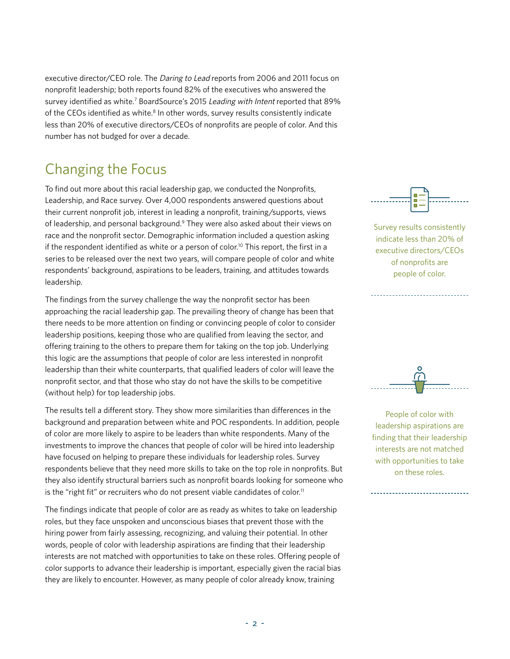executive director/CEO role. The Daring to Lead reports from 2006 and 2011 focus on nonprofit leadership; both reports found 82% of the executives who answered the survey identified as white.<sup>7</sup> BoardSource's 2015 Leading with Intent reported that 89% of the CEOs identified as white.<sup>8</sup> In other words, survey results consistently indicate less than 20% of executive directors/CEOs of nonprofits are people of color. And this number has not budged for over a decade.

## Changing the Focus

To find out more about this racial leadership gap, we conducted the Nonprofits, Leadership, and Race survey. Over 4,000 respondents answered questions about their current nonprofit job, interest in leading a nonprofit, training/supports, views of leadership, and personal background.<sup>9</sup> They were also asked about their views on race and the nonprofit sector. Demographic information included a question asking if the respondent identified as white or a person of color.<sup>10</sup> This report, the first in a series to be released over the next two years, will compare people of color and white respondents' background, aspirations to be leaders, training, and attitudes towards leadership.

The findings from the survey challenge the way the nonprofit sector has been approaching the racial leadership gap. The prevailing theory of change has been that there needs to be more attention on finding or convincing people of color to consider leadership positions, keeping those who are qualified from leaving the sector, and offering training to the others to prepare them for taking on the top job. Underlying this logic are the assumptions that people of color are less interested in nonprofit leadership than their white counterparts, that qualified leaders of color will leave the nonprofit sector, and that those who stay do not have the skills to be competitive (without help) for top leadership jobs.

The results tell a different story. They show more similarities than differences in the background and preparation between white and POC respondents. In addition, people of color are more likely to aspire to be leaders than white respondents. Many of the investments to improve the chances that people of color will be hired into leadership have focused on helping to prepare these individuals for leadership roles. Survey respondents believe that they need more skills to take on the top role in nonprofits. But they also identify structural barriers such as nonprofit boards looking for someone who is the "right fit" or recruiters who do not present viable candidates of color.<sup>11</sup>

The findings indicate that people of color are as ready as whites to take on leadership roles, but they face unspoken and unconscious biases that prevent those with the hiring power from fairly assessing, recognizing, and valuing their potential. In other words, people of color with leadership aspirations are finding that their leadership interests are not matched with opportunities to take on these roles. Offering people of color supports to advance their leadership is important, especially given the racial bias they are likely to encounter. However, as many people of color already know, training



Survey results consistently indicate less than 20% of executive directors/CEOs of nonprofits are people of color.



People of color with leadership aspirations are finding that their leadership interests are not matched with opportunities to take on these roles.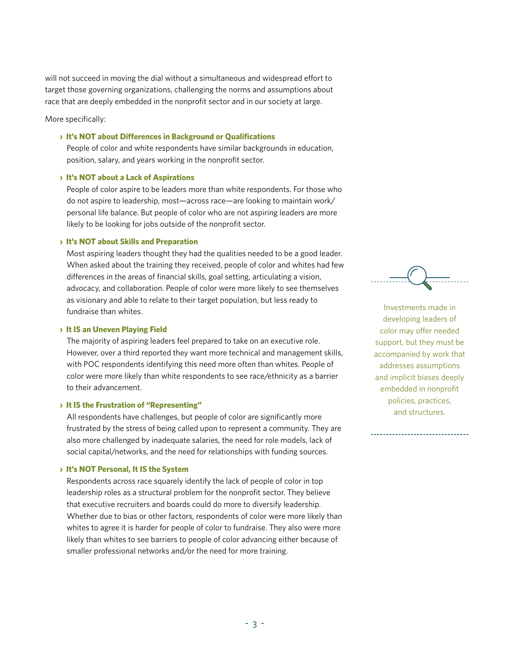will not succeed in moving the dial without a simultaneous and widespread effort to target those governing organizations, challenging the norms and assumptions about race that are deeply embedded in the nonprofit sector and in our society at large.

More specifically:

#### **› It's NOT about Differences in Background or Qualifications**

 People of color and white respondents have similar backgrounds in education, position, salary, and years working in the nonprofit sector.

#### **› It's NOT about a Lack of Aspirations**

 People of color aspire to be leaders more than white respondents. For those who do not aspire to leadership, most—across race—are looking to maintain work/ personal life balance. But people of color who are not aspiring leaders are more likely to be looking for jobs outside of the nonprofit sector.

#### **› It's NOT about Skills and Preparation**

 Most aspiring leaders thought they had the qualities needed to be a good leader. When asked about the training they received, people of color and whites had few differences in the areas of financial skills, goal setting, articulating a vision, advocacy, and collaboration. People of color were more likely to see themselves as visionary and able to relate to their target population, but less ready to fundraise than whites.

#### **› It IS an Uneven Playing Field**

 The majority of aspiring leaders feel prepared to take on an executive role. However, over a third reported they want more technical and management skills, with POC respondents identifying this need more often than whites. People of color were more likely than white respondents to see race/ethnicity as a barrier to their advancement.

#### **› It IS the Frustration of "Representing"**

 All respondents have challenges, but people of color are significantly more frustrated by the stress of being called upon to represent a community. They are also more challenged by inadequate salaries, the need for role models, lack of social capital/networks, and the need for relationships with funding sources.

#### **› It's NOT Personal, It IS the System**

 Respondents across race squarely identify the lack of people of color in top leadership roles as a structural problem for the nonprofit sector. They believe that executive recruiters and boards could do more to diversify leadership. Whether due to bias or other factors, respondents of color were more likely than whites to agree it is harder for people of color to fundraise. They also were more likely than whites to see barriers to people of color advancing either because of smaller professional networks and/or the need for more training.



Investments made in developing leaders of color may offer needed support, but they must be accompanied by work that addresses assumptions and implicit biases deeply embedded in nonprofit policies, practices, and structures.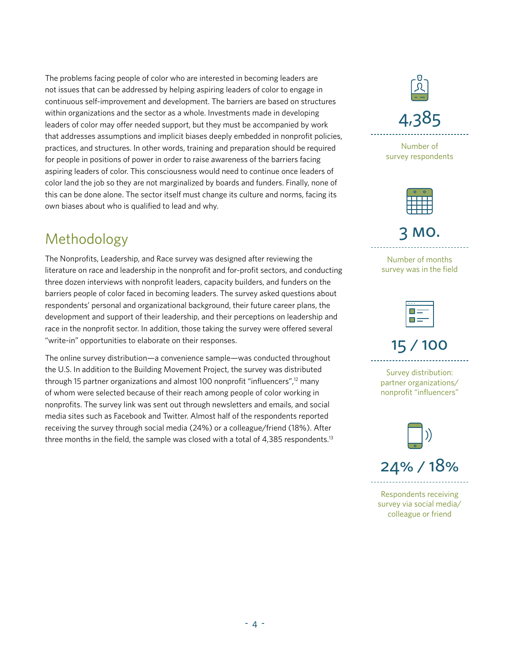The problems facing people of color who are interested in becoming leaders are not issues that can be addressed by helping aspiring leaders of color to engage in continuous self-improvement and development. The barriers are based on structures within organizations and the sector as a whole. Investments made in developing leaders of color may offer needed support, but they must be accompanied by work that addresses assumptions and implicit biases deeply embedded in nonprofit policies, practices, and structures. In other words, training and preparation should be required for people in positions of power in order to raise awareness of the barriers facing aspiring leaders of color. This consciousness would need to continue once leaders of color land the job so they are not marginalized by boards and funders. Finally, none of this can be done alone. The sector itself must change its culture and norms, facing its own biases about who is qualified to lead and why.

## Methodology

The Nonprofits, Leadership, and Race survey was designed after reviewing the literature on race and leadership in the nonprofit and for-profit sectors, and conducting three dozen interviews with nonprofit leaders, capacity builders, and funders on the barriers people of color faced in becoming leaders. The survey asked questions about respondents' personal and organizational background, their future career plans, the development and support of their leadership, and their perceptions on leadership and race in the nonprofit sector. In addition, those taking the survey were offered several "write-in" opportunities to elaborate on their responses.

The online survey distribution—a convenience sample—was conducted throughout the U.S. In addition to the Building Movement Project, the survey was distributed through 15 partner organizations and almost 100 nonprofit "influencers",<sup>12</sup> many of whom were selected because of their reach among people of color working in nonprofits. The survey link was sent out through newsletters and emails, and social media sites such as Facebook and Twitter. Almost half of the respondents reported receiving the survey through social media (24%) or a colleague/friend (18%). After three months in the field, the sample was closed with a total of 4,385 respondents.<sup>13</sup>



Number of survey respondents



3 mo.

Number of months survey was in the field

15 / 100

Survey distribution: partner organizations/ nonprofit "influencers"



Respondents receiving survey via social media/ colleague or friend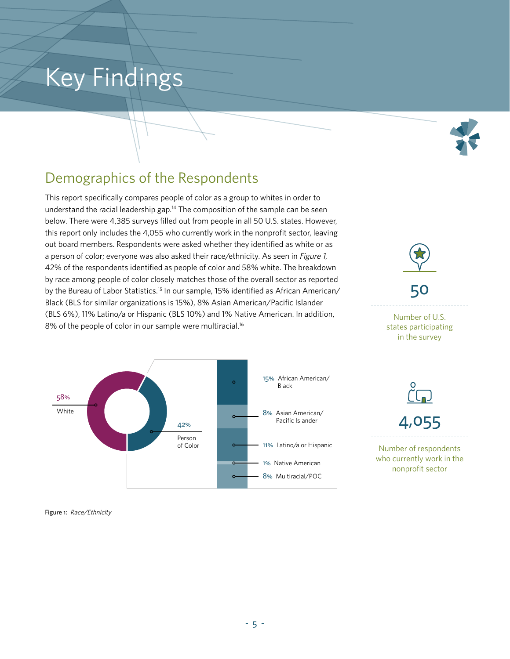## Key Findings



## Demographics of the Respondents

This report specifically compares people of color as a group to whites in order to understand the racial leadership gap.<sup>14</sup> The composition of the sample can be seen below. There were 4,385 surveys filled out from people in all 50 U.S. states. However, this report only includes the 4,055 who currently work in the nonprofit sector, leaving out board members. Respondents were asked whether they identified as white or as a person of color; everyone was also asked their race/ethnicity. As seen in Figure 1, 42% of the respondents identified as people of color and 58% white. The breakdown by race among people of color closely matches those of the overall sector as reported by the Bureau of Labor Statistics.<sup>15</sup> In our sample, 15% identified as African American/ Black (BLS for similar organizations is 15%), 8% Asian American/Pacific Islander (BLS 6%), 11% Latino/a or Hispanic (BLS 10%) and 1% Native American. In addition, 8% of the people of color in our sample were multiracial.<sup>16</sup>



50

Number of U.S. states participating

in the survey



Number of respondents who currently work in the nonprofit sector

Figure 1: Race/Ethnicity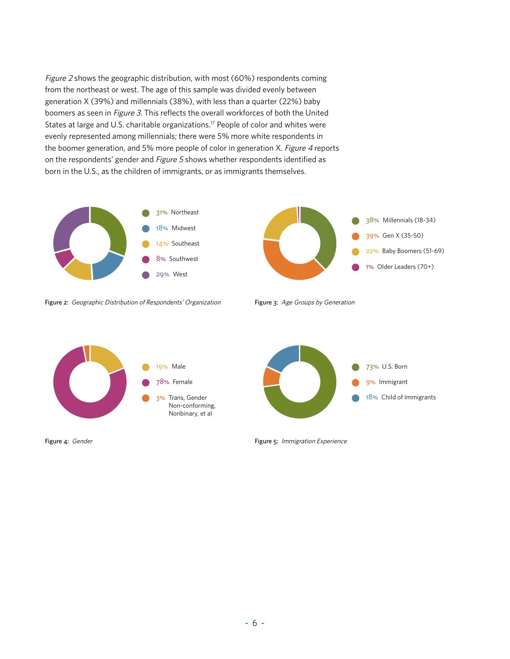Figure 2 shows the geographic distribution, with most (60%) respondents coming from the northeast or west. The age of this sample was divided evenly between generation X (39%) and millennials (38%), with less than a quarter (22%) baby boomers as seen in Figure 3. This reflects the overall workforces of both the United States at large and U.S. charitable organizations.<sup>17</sup> People of color and whites were evenly represented among millennials; there were 5% more white respondents in the boomer generation, and 5% more people of color in generation X. Figure 4 reports on the respondents' gender and Figure 5 shows whether respondents identified as born in the U.S., as the children of immigrants, or as immigrants themselves.



Figure 2: Geographic Distribution of Respondents' Organization





Figure 4: Gender

Figure 5: Immigration Experience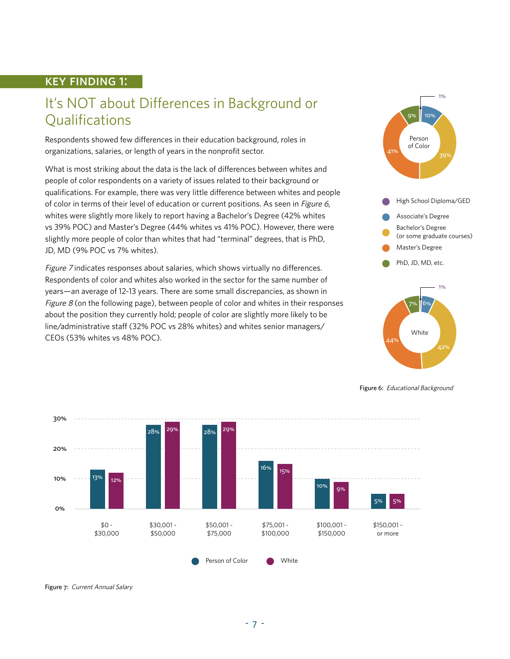#### key finding 1:

## It's NOT about Differences in Background or **Qualifications**

Respondents showed few differences in their education background, roles in organizations, salaries, or length of years in the nonprofit sector.

What is most striking about the data is the lack of differences between whites and people of color respondents on a variety of issues related to their background or qualifications. For example, there was very little difference between whites and people of color in terms of their level of education or current positions. As seen in *Figure 6*, whites were slightly more likely to report having a Bachelor's Degree (42% whites vs 39% POC) and Master's Degree (44% whites vs 41% POC). However, there were slightly more people of color than whites that had "terminal" degrees, that is PhD, JD, MD (9% POC vs 7% whites).

Figure 7 indicates responses about salaries, which shows virtually no differences. Respondents of color and whites also worked in the sector for the same number of years—an average of 12-13 years. There are some small discrepancies, as shown in *Figure 8* (on the following page), between people of color and whites in their responses about the position they currently hold; people of color are slightly more likely to be line/administrative staff (32% POC vs 28% whites) and whites senior managers/ CEOs (53% whites vs 48% POC).





Figure 6: Educational Background



Figure 7: Current Annual Salary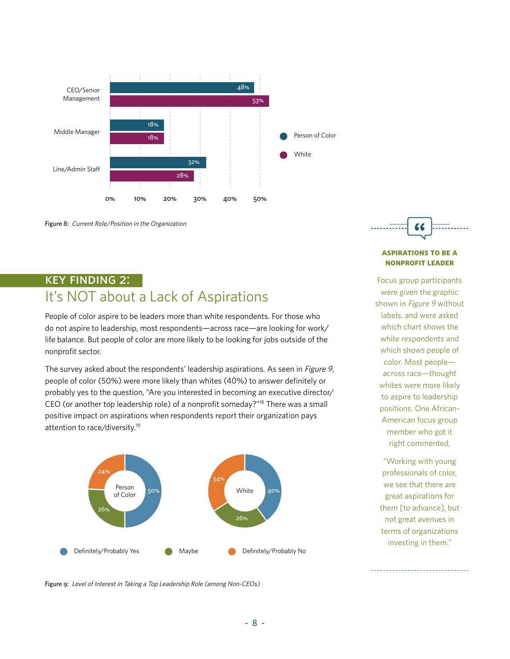

Figure 8: Current Role/Position in the Organization

### key finding 2: It's NOT about a Lack of Aspirations

People of color aspire to be leaders more than white respondents. For those who do not aspire to leadership, most respondents—across race—are looking for work/ life balance. But people of color are more likely to be looking for jobs outside of the nonprofit sector.

The survey asked about the respondents' leadership aspirations. As seen in *Figure 9*, people of color (50%) were more likely than whites (40%) to answer definitely or probably yes to the question, "Are you interested in becoming an executive director/ CEO (or another top leadership role) of a nonprofit someday?"18 There was a small positive impact on aspirations when respondents report their organization pays attention to race/diversity.19





#### **aspirations to be a nonprofit leader**

Focus group participants were given the graphic shown in Figure 9 without labels, and were asked which chart shows the white respondents and which shows people of color. Most people across race—thought whites were more likely to aspire to leadership positions. One African-American focus group member who got it right commented,

"Working with young professionals of color, we see that there are great aspirations for them [to advance], but not great avenues in terms of organizations investing in them."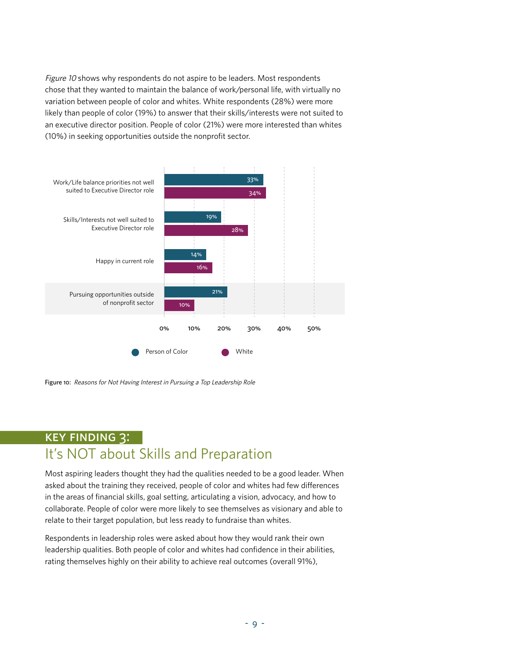Figure 10 shows why respondents do not aspire to be leaders. Most respondents chose that they wanted to maintain the balance of work/personal life, with virtually no variation between people of color and whites. White respondents (28%) were more likely than people of color (19%) to answer that their skills/interests were not suited to an executive director position. People of color (21%) were more interested than whites (10%) in seeking opportunities outside the nonprofit sector.



Figure 10: Reasons for Not Having Interest in Pursuing a Top Leadership Role

## key finding 3: It's NOT about Skills and Preparation

Most aspiring leaders thought they had the qualities needed to be a good leader. When asked about the training they received, people of color and whites had few differences in the areas of financial skills, goal setting, articulating a vision, advocacy, and how to collaborate. People of color were more likely to see themselves as visionary and able to relate to their target population, but less ready to fundraise than whites.

Respondents in leadership roles were asked about how they would rank their own leadership qualities. Both people of color and whites had confidence in their abilities, rating themselves highly on their ability to achieve real outcomes (overall 91%),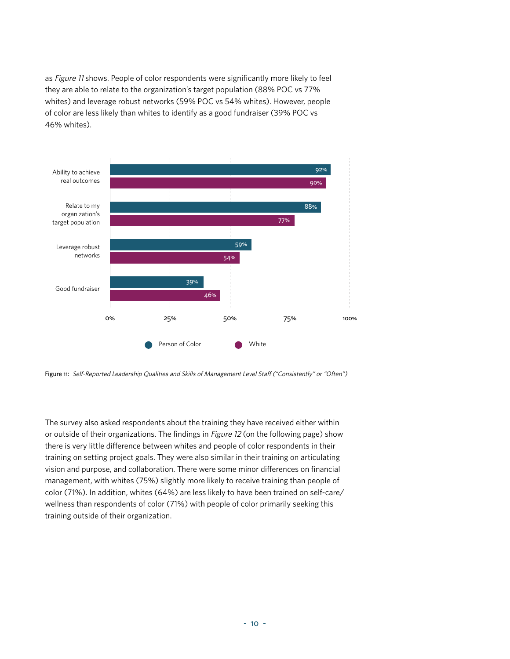as Figure 11 shows. People of color respondents were significantly more likely to feel they are able to relate to the organization's target population (88% POC vs 77% whites) and leverage robust networks (59% POC vs 54% whites). However, people of color are less likely than whites to identify as a good fundraiser (39% POC vs 46% whites).



Figure 11: Self-Reported Leadership Qualities and Skills of Management Level Staff ("Consistently" or "Often")

The survey also asked respondents about the training they have received either within or outside of their organizations. The findings in Figure 12 (on the following page) show there is very little difference between whites and people of color respondents in their training on setting project goals. They were also similar in their training on articulating vision and purpose, and collaboration. There were some minor differences on financial management, with whites (75%) slightly more likely to receive training than people of color (71%). In addition, whites (64%) are less likely to have been trained on self-care/ wellness than respondents of color (71%) with people of color primarily seeking this training outside of their organization.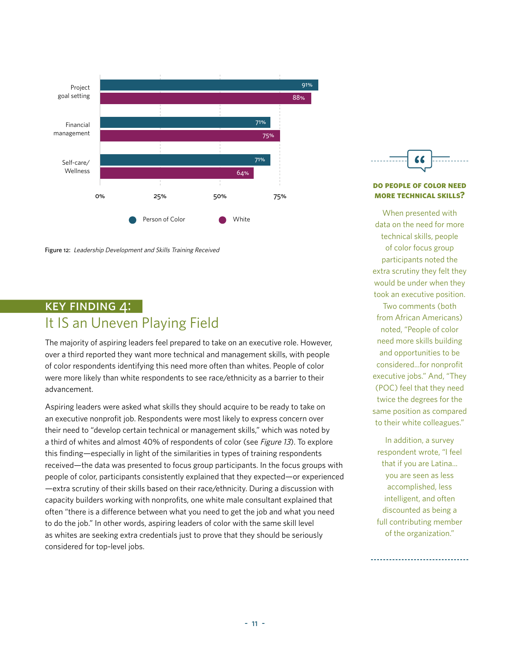

Figure 12: Leadership Development and Skills Training Received

### key finding 4: It IS an Uneven Playing Field

The majority of aspiring leaders feel prepared to take on an executive role. However, over a third reported they want more technical and management skills, with people of color respondents identifying this need more often than whites. People of color were more likely than white respondents to see race/ethnicity as a barrier to their advancement.

Aspiring leaders were asked what skills they should acquire to be ready to take on an executive nonprofit job. Respondents were most likely to express concern over their need to "develop certain technical or management skills," which was noted by a third of whites and almost 40% of respondents of color (see Figure 13). To explore this finding—especially in light of the similarities in types of training respondents received—the data was presented to focus group participants. In the focus groups with people of color, participants consistently explained that they expected—or experienced —extra scrutiny of their skills based on their race/ethnicity. During a discussion with capacity builders working with nonprofits, one white male consultant explained that often "there is a difference between what you need to get the job and what you need to do the job." In other words, aspiring leaders of color with the same skill level as whites are seeking extra credentials just to prove that they should be seriously considered for top-level jobs.



#### **do people of color need more technical skills?**

When presented with data on the need for more technical skills, people of color focus group participants noted the extra scrutiny they felt they would be under when they took an executive position.

Two comments (both from African Americans) noted, "People of color need more skills building and opportunities to be considered...for nonprofit executive jobs." And, "They (POC) feel that they need twice the degrees for the same position as compared to their white colleagues."

In addition, a survey respondent wrote, "I feel that if you are Latina... you are seen as less accomplished, less intelligent, and often discounted as being a full contributing member of the organization."

----------------------------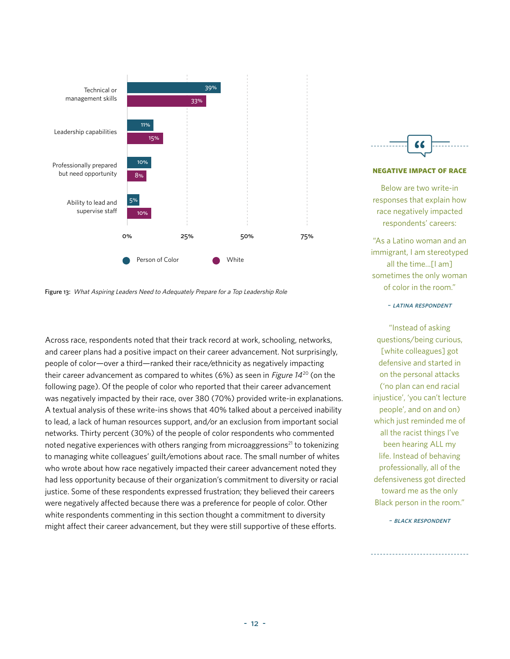

Figure 13: What Aspiring Leaders Need to Adequately Prepare for a Top Leadership Role

Across race, respondents noted that their track record at work, schooling, networks, and career plans had a positive impact on their career advancement. Not surprisingly, people of color—over a third—ranked their race/ethnicity as negatively impacting their career advancement as compared to whites (6%) as seen in Figure  $14^{20}$  (on the following page). Of the people of color who reported that their career advancement was negatively impacted by their race, over 380 (70%) provided write-in explanations. A textual analysis of these write-ins shows that 40% talked about a perceived inability to lead, a lack of human resources support, and/or an exclusion from important social networks. Thirty percent (30%) of the people of color respondents who commented noted negative experiences with others ranging from microaggressions<sup>21</sup> to tokenizing to managing white colleagues' guilt/emotions about race. The small number of whites who wrote about how race negatively impacted their career advancement noted they had less opportunity because of their organization's commitment to diversity or racial justice. Some of these respondents expressed frustration; they believed their careers were negatively affected because there was a preference for people of color. Other white respondents commenting in this section thought a commitment to diversity might affect their career advancement, but they were still supportive of these efforts.



#### **negative impact of race**

Below are two write-in responses that explain how race negatively impacted respondents' careers:

"As a Latino woman and an immigrant, I am stereotyped all the time...[I am] sometimes the only woman of color in the room."

~ latina respondent

"Instead of asking questions/being curious, [white colleagues] got defensive and started in on the personal attacks ('no plan can end racial injustice', 'you can't lecture people', and on and on) which just reminded me of all the racist things I've been hearing ALL my life. Instead of behaving professionally, all of the defensiveness got directed toward me as the only Black person in the room."

~ black respondent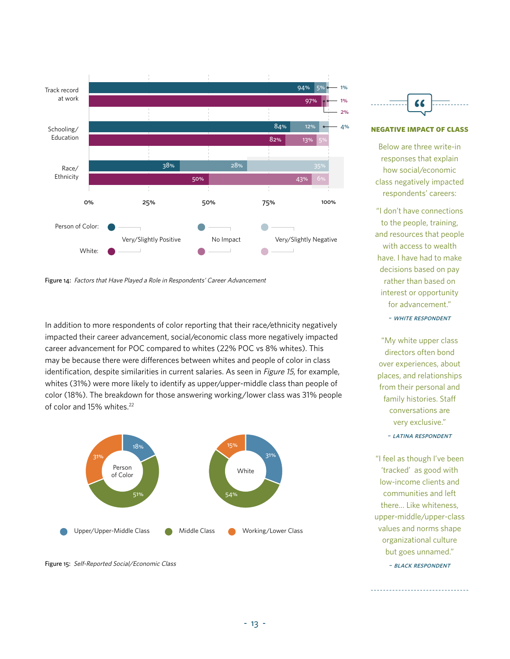

Figure 14: Factors that Have Played a Role in Respondents' Career Advancement

In addition to more respondents of color reporting that their race/ethnicity negatively impacted their career advancement, social/economic class more negatively impacted career advancement for POC compared to whites (22% POC vs 8% whites). This may be because there were differences between whites and people of color in class identification, despite similarities in current salaries. As seen in *Figure 15*, for example, whites (31%) were more likely to identify as upper/upper-middle class than people of color (18%). The breakdown for those answering working/lower class was 31% people of color and 15% whites.<sup>22</sup>



Figure 15: Self-Reported Social/Economic Class



#### **negative impact of class**

Below are three write-in responses that explain how social/economic class negatively impacted respondents' careers:

"I don't have connections to the people, training, and resources that people with access to wealth have. I have had to make decisions based on pay rather than based on interest or opportunity for advancement."

~ white respondent

"My white upper class directors often bond over experiences, about places, and relationships from their personal and family histories. Staff conversations are very exclusive."

~ latina respondent

"I feel as though I've been 'tracked' as good with low-income clients and communities and left there… Like whiteness, upper-middle/upper-class values and norms shape organizational culture but goes unnamed." ~ black respondent

---------------------------------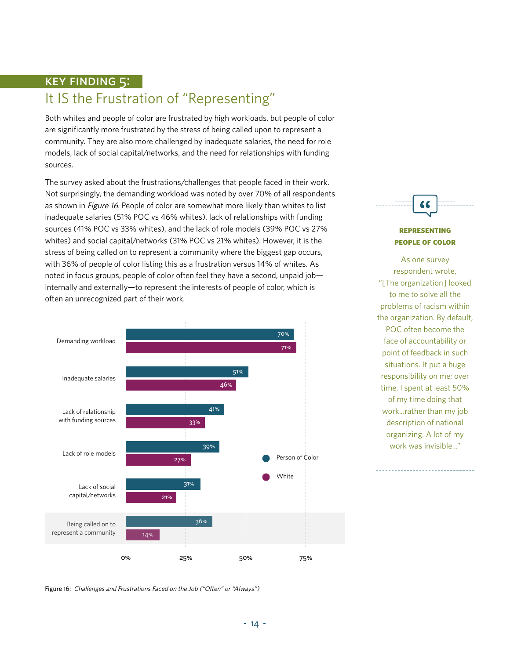## key finding 5: It IS the Frustration of "Representing"

Both whites and people of color are frustrated by high workloads, but people of color are significantly more frustrated by the stress of being called upon to represent a community. They are also more challenged by inadequate salaries, the need for role models, lack of social capital/networks, and the need for relationships with funding sources.

The survey asked about the frustrations/challenges that people faced in their work. Not surprisingly, the demanding workload was noted by over 70% of all respondents as shown in Figure 16. People of color are somewhat more likely than whites to list inadequate salaries (51% POC vs 46% whites), lack of relationships with funding sources (41% POC vs 33% whites), and the lack of role models (39% POC vs 27% whites) and social capital/networks (31% POC vs 21% whites). However, it is the stress of being called on to represent a community where the biggest gap occurs, with 36% of people of color listing this as a frustration versus 14% of whites. As noted in focus groups, people of color often feel they have a second, unpaid job internally and externally—to represent the interests of people of color, which is often an unrecognized part of their work.





#### **representing people of color**

As one survey respondent wrote, "[The organization] looked to me to solve all the problems of racism within the organization. By default, POC often become the face of accountability or point of feedback in such situations. It put a huge responsibility on me; over time, I spent at least 50% of my time doing that work...rather than my job description of national organizing. A lot of my work was invisible..."

Figure 16: Challenges and Frustrations Faced on the Job ("Often" or "Always")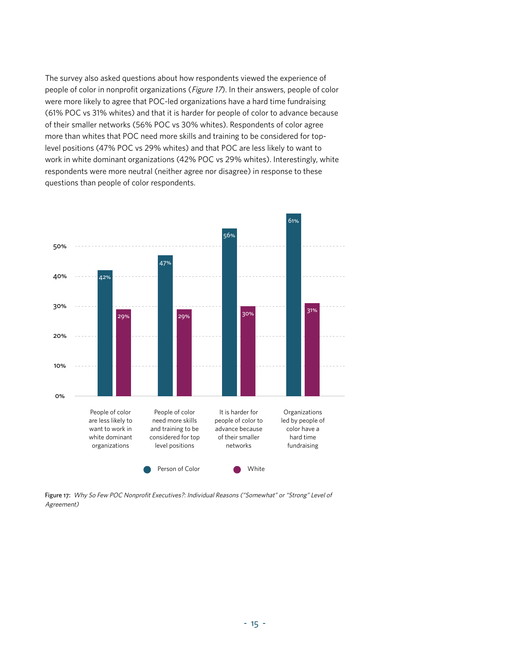The survey also asked questions about how respondents viewed the experience of people of color in nonprofit organizations (Figure 17). In their answers, people of color were more likely to agree that POC-led organizations have a hard time fundraising (61% POC vs 31% whites) and that it is harder for people of color to advance because of their smaller networks (56% POC vs 30% whites). Respondents of color agree more than whites that POC need more skills and training to be considered for toplevel positions (47% POC vs 29% whites) and that POC are less likely to want to work in white dominant organizations (42% POC vs 29% whites). Interestingly, white respondents were more neutral (neither agree nor disagree) in response to these questions than people of color respondents.



Figure 17: Why So Few POC Nonprofit Executives?: Individual Reasons ("Somewhat" or "Strong" Level of Agreement)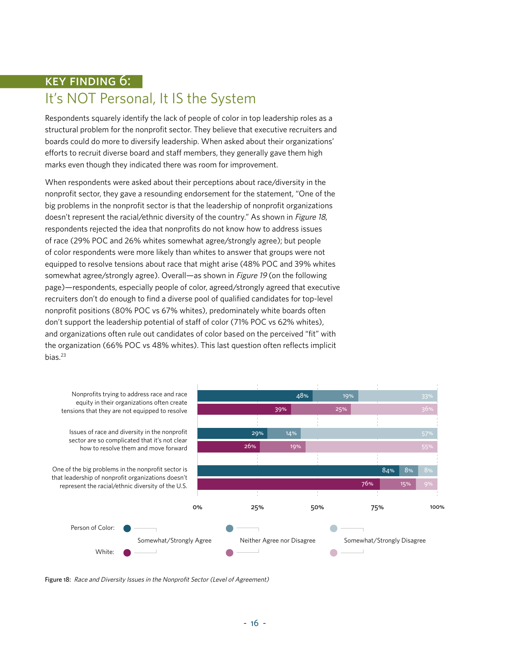## key finding 6: It's NOT Personal, It IS the System

Respondents squarely identify the lack of people of color in top leadership roles as a structural problem for the nonprofit sector. They believe that executive recruiters and boards could do more to diversify leadership. When asked about their organizations' efforts to recruit diverse board and staff members, they generally gave them high marks even though they indicated there was room for improvement.

When respondents were asked about their perceptions about race/diversity in the nonprofit sector, they gave a resounding endorsement for the statement, "One of the big problems in the nonprofit sector is that the leadership of nonprofit organizations doesn't represent the racial/ethnic diversity of the country." As shown in Figure 18, respondents rejected the idea that nonprofits do not know how to address issues of race (29% POC and 26% whites somewhat agree/strongly agree); but people of color respondents were more likely than whites to answer that groups were not equipped to resolve tensions about race that might arise (48% POC and 39% whites somewhat agree/strongly agree). Overall—as shown in Figure 19 (on the following page)—respondents, especially people of color, agreed/strongly agreed that executive recruiters don't do enough to find a diverse pool of qualified candidates for top-level nonprofit positions (80% POC vs 67% whites), predominately white boards often don't support the leadership potential of staff of color (71% POC vs 62% whites), and organizations often rule out candidates of color based on the perceived "fit" with the organization (66% POC vs 48% whites). This last question often reflects implicit bias.<sup>23</sup>



Figure 18: Race and Diversity Issues in the Nonprofit Sector (Level of Agreement)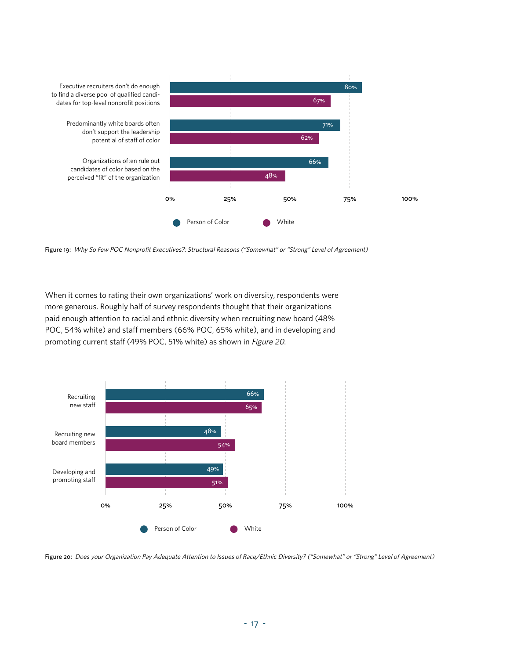

Figure 19: Why So Few POC Nonprofit Executives?: Structural Reasons ("Somewhat" or "Strong" Level of Agreement)

When it comes to rating their own organizations' work on diversity, respondents were more generous. Roughly half of survey respondents thought that their organizations paid enough attention to racial and ethnic diversity when recruiting new board (48% POC, 54% white) and staff members (66% POC, 65% white), and in developing and promoting current staff (49% POC, 51% white) as shown in Figure 20.



Figure 20: Does your Organization Pay Adequate Attention to Issues of Race/Ethnic Diversity? ("Somewhat" or "Strong" Level of Agreement)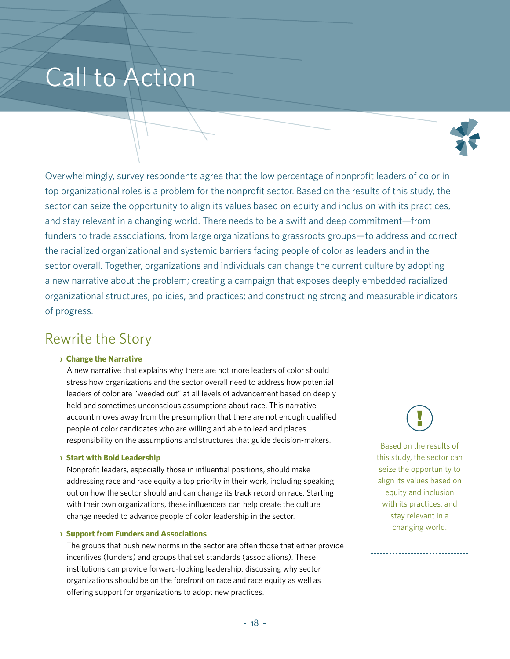## Call to Action



Overwhelmingly, survey respondents agree that the low percentage of nonprofit leaders of color in top organizational roles is a problem for the nonprofit sector. Based on the results of this study, the sector can seize the opportunity to align its values based on equity and inclusion with its practices, and stay relevant in a changing world. There needs to be a swift and deep commitment—from funders to trade associations, from large organizations to grassroots groups—to address and correct the racialized organizational and systemic barriers facing people of color as leaders and in the sector overall. Together, organizations and individuals can change the current culture by adopting a new narrative about the problem; creating a campaign that exposes deeply embedded racialized organizational structures, policies, and practices; and constructing strong and measurable indicators of progress.

### Rewrite the Story

#### **› Change the Narrative**

 A new narrative that explains why there are not more leaders of color should stress how organizations and the sector overall need to address how potential leaders of color are "weeded out" at all levels of advancement based on deeply held and sometimes unconscious assumptions about race. This narrative account moves away from the presumption that there are not enough qualified people of color candidates who are willing and able to lead and places responsibility on the assumptions and structures that guide decision-makers.

#### **› Start with Bold Leadership**

 Nonprofit leaders, especially those in influential positions, should make addressing race and race equity a top priority in their work, including speaking out on how the sector should and can change its track record on race. Starting with their own organizations, these influencers can help create the culture change needed to advance people of color leadership in the sector.

#### **› Support from Funders and Associations**

 The groups that push new norms in the sector are often those that either provide incentives (funders) and groups that set standards (associations). These institutions can provide forward-looking leadership, discussing why sector organizations should be on the forefront on race and race equity as well as offering support for organizations to adopt new practices.

Based on the results of this study, the sector can seize the opportunity to align its values based on equity and inclusion with its practices, and stay relevant in a changing world.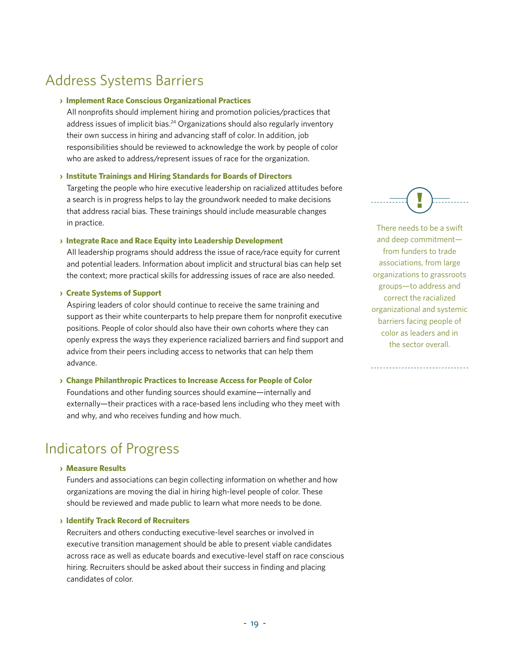## Address Systems Barriers

#### **› Implement Race Conscious Organizational Practices**

 All nonprofits should implement hiring and promotion policies/practices that address issues of implicit bias.<sup>24</sup> Organizations should also regularly inventory their own success in hiring and advancing staff of color. In addition, job responsibilities should be reviewed to acknowledge the work by people of color who are asked to address/represent issues of race for the organization.

#### **› Institute Trainings and Hiring Standards for Boards of Directors**

 Targeting the people who hire executive leadership on racialized attitudes before a search is in progress helps to lay the groundwork needed to make decisions that address racial bias. These trainings should include measurable changes in practice.

#### **› Integrate Race and Race Equity into Leadership Development**

 All leadership programs should address the issue of race/race equity for current and potential leaders. Information about implicit and structural bias can help set the context; more practical skills for addressing issues of race are also needed.

#### **› Create Systems of Support**

 Aspiring leaders of color should continue to receive the same training and support as their white counterparts to help prepare them for nonprofit executive positions. People of color should also have their own cohorts where they can openly express the ways they experience racialized barriers and find support and advice from their peers including access to networks that can help them advance.

#### **› Change Philanthropic Practices to Increase Access for People of Color**

 Foundations and other funding sources should examine—internally and externally—their practices with a race-based lens including who they meet with and why, and who receives funding and how much.

## Indicators of Progress

#### **› Measure Results**

 Funders and associations can begin collecting information on whether and how organizations are moving the dial in hiring high-level people of color. These should be reviewed and made public to learn what more needs to be done.

#### **› Identify Track Record of Recruiters**

 Recruiters and others conducting executive-level searches or involved in executive transition management should be able to present viable candidates across race as well as educate boards and executive-level staff on race conscious hiring. Recruiters should be asked about their success in finding and placing candidates of color.



There needs to be a swift and deep commitment from funders to trade associations, from large organizations to grassroots groups—to address and correct the racialized organizational and systemic barriers facing people of color as leaders and in the sector overall.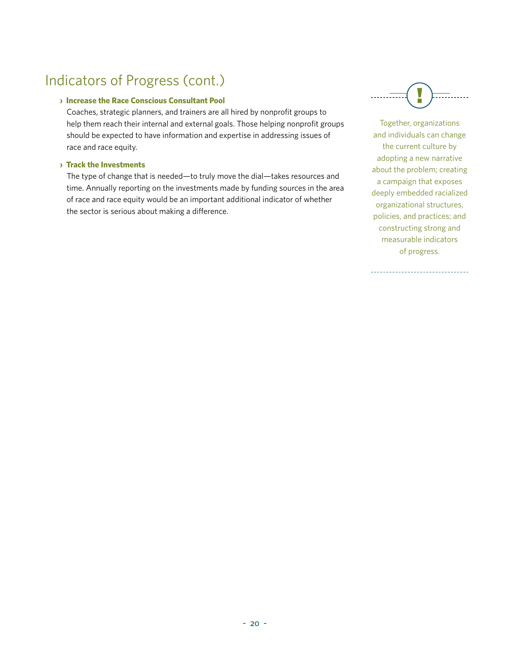## Indicators of Progress (cont.)

#### **› Increase the Race Conscious Consultant Pool**

 Coaches, strategic planners, and trainers are all hired by nonprofit groups to help them reach their internal and external goals. Those helping nonprofit groups should be expected to have information and expertise in addressing issues of race and race equity.

#### **› Track the Investments**

 The type of change that is needed—to truly move the dial—takes resources and time. Annually reporting on the investments made by funding sources in the area of race and race equity would be an important additional indicator of whether the sector is serious about making a difference.



Together, organizations and individuals can change the current culture by adopting a new narrative about the problem; creating a campaign that exposes deeply embedded racialized organizational structures, policies, and practices; and constructing strong and measurable indicators of progress.

---------------------------------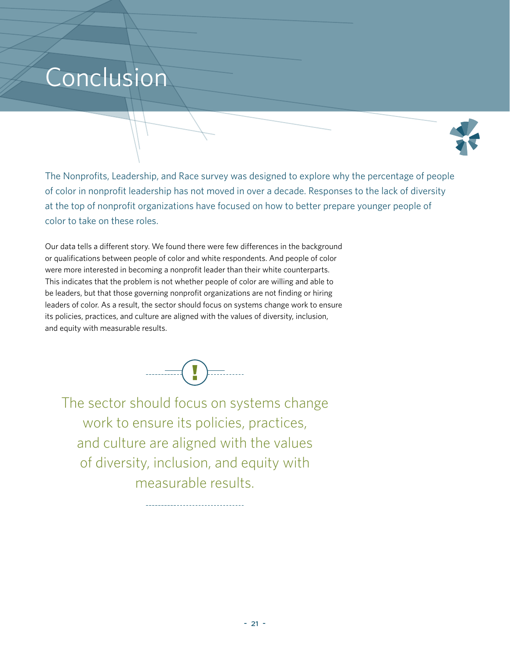## Conclusion



The Nonprofits, Leadership, and Race survey was designed to explore why the percentage of people of color in nonprofit leadership has not moved in over a decade. Responses to the lack of diversity at the top of nonprofit organizations have focused on how to better prepare younger people of color to take on these roles.

Our data tells a different story. We found there were few differences in the background or qualifications between people of color and white respondents. And people of color were more interested in becoming a nonprofit leader than their white counterparts. This indicates that the problem is not whether people of color are willing and able to be leaders, but that those governing nonprofit organizations are not finding or hiring leaders of color. As a result, the sector should focus on systems change work to ensure its policies, practices, and culture are aligned with the values of diversity, inclusion, and equity with measurable results.



The sector should focus on systems change work to ensure its policies, practices, and culture are aligned with the values of diversity, inclusion, and equity with measurable results.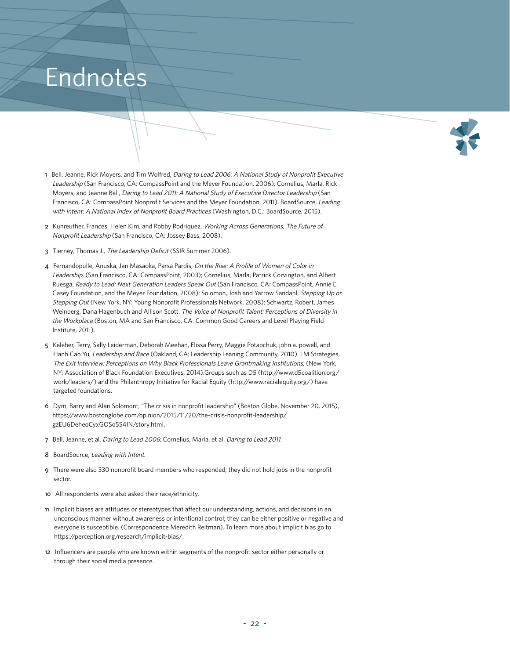## Endnotes



- 1 Bell, Jeanne, Rick Moyers, and Tim Wolfred, Daring to Lead 2006: A National Study of Nonprofit Executive Leadership (San Francisco, CA: CompassPoint and the Meyer Foundation, 2006); Cornelius, Marla, Rick Moyers, and Jeanne Bell, Daring to Lead 2011: A National Study of Executive Director Leadership (San Francisco, CA: CompassPoint Nonprofit Services and the Meyer Foundation, 2011). BoardSource, Leading with Intent: A National Index of Nonprofit Board Practices (Washington, D.C.: BoardSource, 2015).
- 2 Kunreuther, Frances, Helen Kim, and Robby Rodriquez, Working Across Generations, The Future of Nonprofit Leadership (San Francisco, CA: Jossey Bass, 2008).
- 3 Tierney, Thomas J., The Leadership Deficit (SSIR Summer 2006).
- 4 Fernandopulle, Anuska, Jan Masaoka, Parsa Pardis, On the Rise: A Profile of Women of Color in Leadership, (San Francisco, CA: CompassPoint, 2003); Cornelius, Marla, Patrick Corvington, and Albert Ruesga, Ready to Lead: Next Generation Leaders Speak Out (San Francisco, CA: CompassPoint, Annie E. Casey Foundation, and the Meyer Foundation, 2008); Solomon, Josh and Yarrow Sandahl, Stepping Up or Stepping Out (New York, NY: Young Nonprofit Professionals Network, 2008); Schwartz, Robert, James Weinberg, Dana Hagenbuch and Allison Scott. The Voice of Nonprofit Talent: Perceptions of Diversity in the Workplace (Boston, MA and San Francisco, CA: Common Good Careers and Level Playing Field Institute, 2011).
- 5 Keleher, Terry, Sally Leiderman, Deborah Meehan, Elissa Perry, Maggie Potapchuk, john a. powell, and Hanh Cao Yu, Leadership and Race (Oakland, CA: Leadership Leaning Community, 2010). LM Strategies, The Exit Interview: Perceptions on Why Black Professionals Leave Grantmaking Institutions, (New York, NY: Association of Black Foundation Executives, 2014).Groups such as D5 (http://www.d5coalition.org/ work/leaders/) and the Philanthropy Initiative for Racial Equity (http://www.racialequity.org/) have targeted foundations.
- 6 Dym, Barry and Alan Solomont, "The crisis in nonprofit leadership" (Boston Globe, November 20, 2015), https://www.bostonglobe.com/opinion/2015/11/20/the-crisis-nonprofit-leadership/ gzEU6DeheoCyxGOSo5S4IN/story.html.
- 7 Bell, Jeanne, et al. Daring to Lead 2006; Cornelius, Marla, et al. Daring to Lead 2011.
- 8 BoardSource, Leading with Intent.
- 9 There were also 330 nonprofit board members who responded; they did not hold jobs in the nonprofit sector.
- 10 All respondents were also asked their race/ethnicity.
- 11 Implicit biases are attitudes or stereotypes that affect our understanding, actions, and decisions in an unconscious manner without awareness or intentional control; they can be either positive or negative and everyone is susceptible. (Correspondence Meredith Reitman). To learn more about implicit bias go to https://perception.org/research/implicit-bias/.
- 12 Influencers are people who are known within segments of the nonprofit sector either personally or through their social media presence.